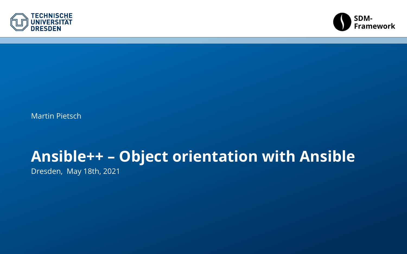<span id="page-0-0"></span>



Martin Pietsch

## **Ansible++ – Object orientation with Ansible**

Dresden, May 18th, 2021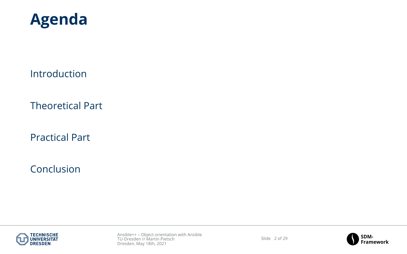

[Introduction](#page-2-0)

[Theoretical Part](#page-5-0)

[Practical Part](#page-12-0)

[Conclusion](#page-14-0)





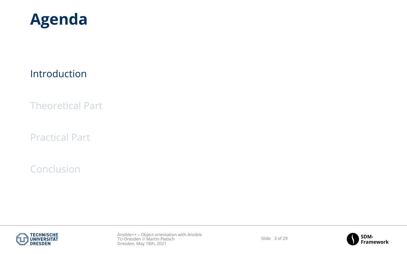<span id="page-2-0"></span>

#### [Introduction](#page-2-0)

[Theoretical Part](#page-5-0)

[Practical Part](#page-12-0)

[Conclusion](#page-14-0)





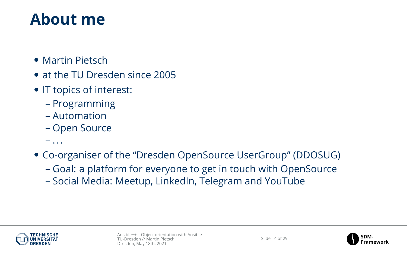## **About me**

- Martin Pietsch
- at the TU Dresden since 2005
- IT topics of interest:
	- Programming
	- Automation
	- Open Source
	- ...
- Co-organiser of the "Dresden OpenSource UserGroup" (DDOSUG)
	- Goal: a platform for everyone to get in touch with OpenSource
	- Social Media: Meetup, LinkedIn, Telegram and YouTube



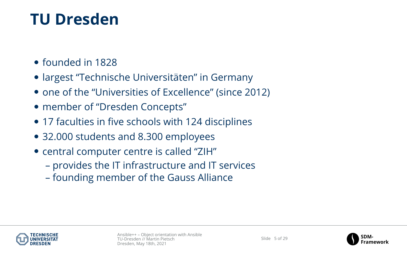## **TU Dresden**

- founded in 1828
- largest "Technische Universitäten" in Germany
- one of the "Universities of Excellence" (since 2012)
- member of "Dresden Concepts"
- 17 faculties in five schools with 124 disciplines
- 32.000 students and 8.300 employees
- central computer centre is called "ZIH"
	- provides the IT infrastructure and IT services
	- founding member of the Gauss Alliance





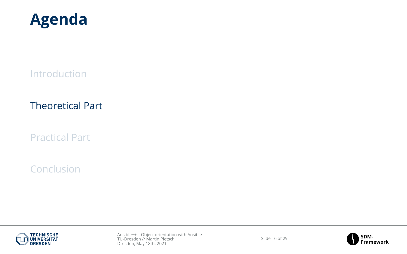<span id="page-5-0"></span>

[Introduction](#page-2-0)

### [Theoretical Part](#page-5-0)

[Practical Part](#page-12-0)

### [Conclusion](#page-14-0)



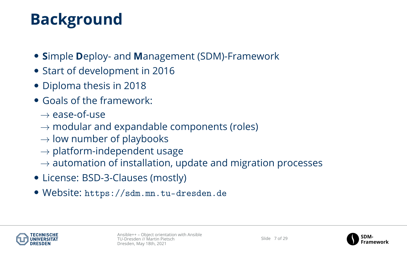# **Background**

- **S**imple **D**eploy- and **M**anagement (SDM)-Framework
- Start of development in 2016
- Diploma thesis in 2018
- Goals of the framework:
	- $\rightarrow$  ease-of-use
	- $\rightarrow$  modular and expandable components (roles)
	- $\rightarrow$  low number of playbooks
	- $\rightarrow$  platform-independent usage
	- $\rightarrow$  automation of installation, update and migration processes
- License: BSD-3-Clauses (mostly)
- Website: <https://sdm.mn.tu-dresden.de>



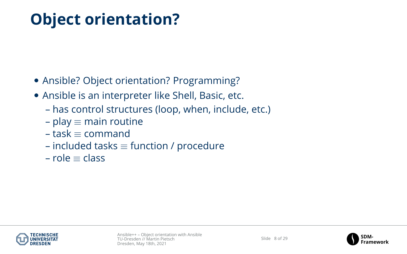# **Object orientation?**

- Ansible? Object orientation? Programming?
- Ansible is an interpreter like Shell, Basic, etc.
	- has control structures (loop, when, include, etc.)
	- $-$  play  $\equiv$  main routine
	- $-$  task  $=$  command
	- included tasks  $\equiv$  function / procedure
	- role ≡ class



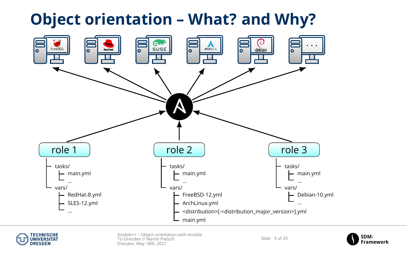## **Object orientation – What? and Why?**





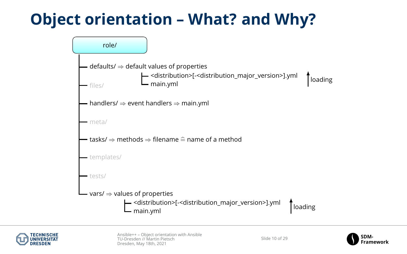## **Object orientation – What? and Why?**





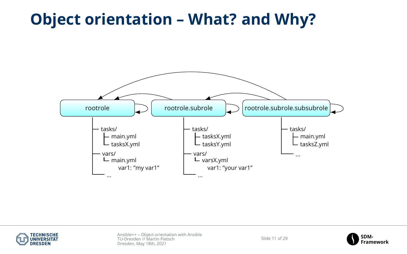## **Object orientation – What? and Why?**





Slide 11 of 29

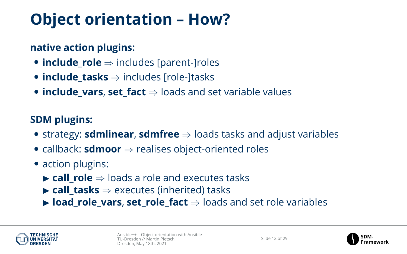# **Object orientation – How?**

### **native action plugins:**

- **include\_role** ⇒ includes [parent-]roles
- **include\_tasks** ⇒ includes [role-]tasks
- **include\_vars**, **set\_fact** ⇒ loads and set variable values

### **SDM plugins:**

- strategy: **sdmlinear**, **sdmfree** ⇒ loads tasks and adjust variables
- callback: **sdmoor** ⇒ realises object-oriented roles
- action plugins:
	- **► call role** ⇒ loads a role and executes tasks
	- $\triangleright$  **call tasks**  $\Rightarrow$  executes (inherited) tasks
	- **► load role vars, set role fact** ⇒ loads and set role variables





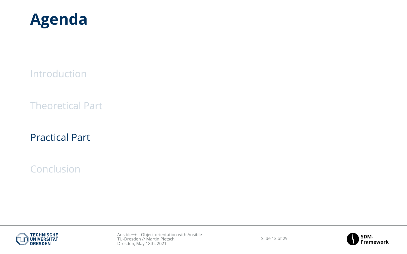<span id="page-12-0"></span>

[Introduction](#page-2-0)

[Theoretical Part](#page-5-0)

[Practical Part](#page-12-0)

[Conclusion](#page-14-0)



Slide 13 of 29

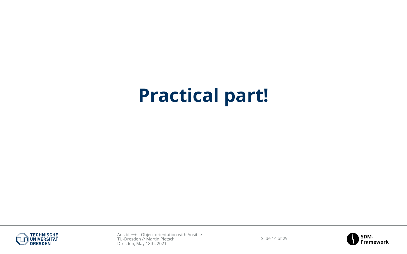# **Practical part!**



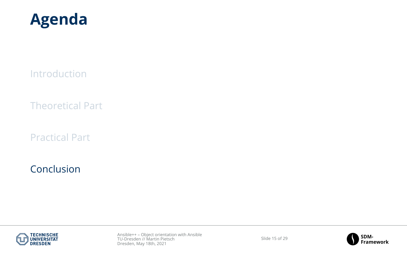<span id="page-14-0"></span>

[Introduction](#page-2-0)

[Theoretical Part](#page-5-0)

[Practical Part](#page-12-0)

### [Conclusion](#page-14-0)



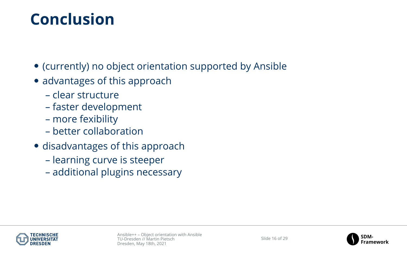## **Conclusion**

- (currently) no object orientation supported by Ansible
- advantages of this approach
	- clear structure
	- faster development
	- more fexibility
	- better collaboration
- disadvantages of this approach
	- learning curve is steeper
	- additional plugins necessary





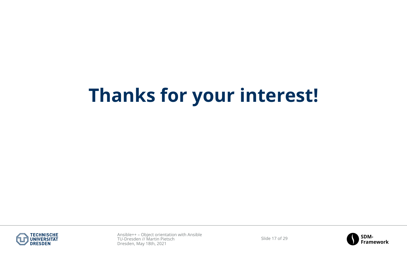# **Thanks for your interest!**



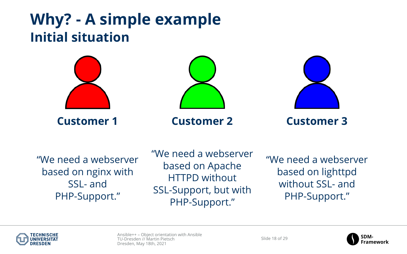## **Why? - A simple example Initial situation**



**Customer 1 Customer 2 Customer 3**





"We need a webserver based on nginx with SSL- and PHP-Support."

"We need a webserver based on Apache HTTPD without SSL-Support, but with PHP-Support."

"We need a webserver based on lighttpd without SSL- and PHP-Support."



Slide 18 of 20

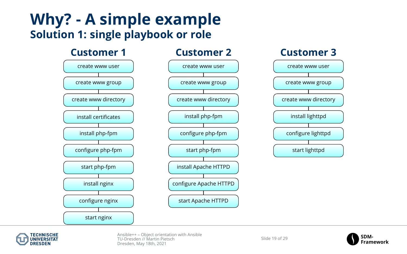## **Why? - A simple example Solution 1: single playbook or role**





Slide 19 of 29

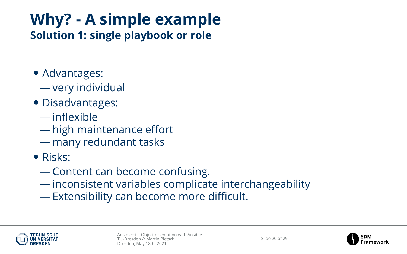# **Why? - A simple example**

**Solution 1: single playbook or role**

- Advantages:
	- very individual
- Disadvantages:
	- inflexible
	- high maintenance effort
	- many redundant tasks
- Risks:
	- Content can become confusing.
	- inconsistent variables complicate interchangeability
	- Extensibility can become more difficult.



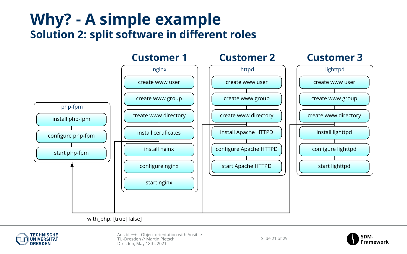## **Why? - A simple example Solution 2: split software in different roles**



with\_php: [true|false]



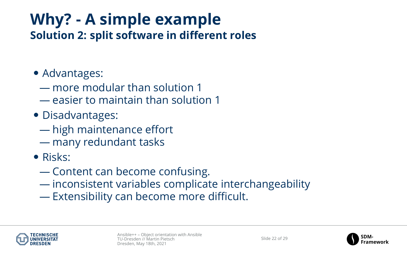# **Why? - A simple example**

**Solution 2: split software in different roles**

- Advantages:
	- more modular than solution 1
	- easier to maintain than solution 1
- Disadvantages:
	- high maintenance effort
	- many redundant tasks
- Risks:
	- Content can become confusing.
	- inconsistent variables complicate interchangeability
	- Extensibility can become more difficult.



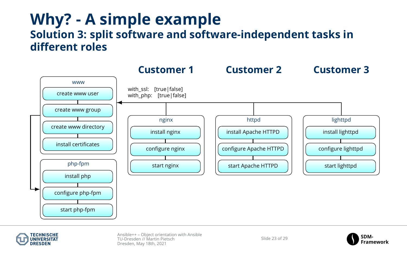## **Why? - A simple example Solution 3: split software and software-independent tasks in different roles**





Slide 22 of 29

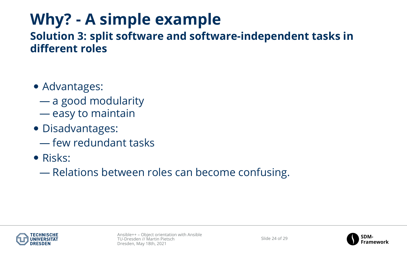# **Why? - A simple example**

### **Solution 3: split software and software-independent tasks in different roles**

- Advantages:
	- a good modularity
	- easy to maintain
- Disadvantages:
	- few redundant tasks
- Risks:
	- Relations between roles can become confusing.



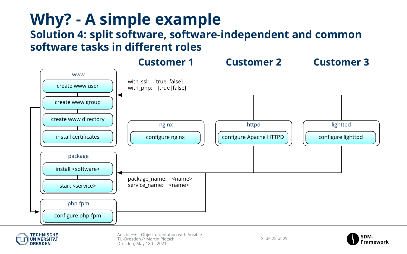## **Why? - A simple example Solution 4: split software, software-independent and common software tasks in different roles**





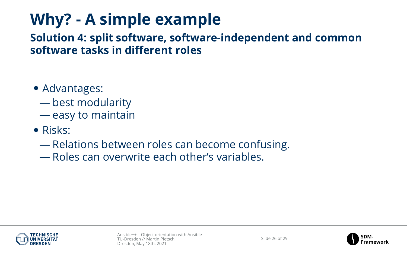# **Why? - A simple example**

**Solution 4: split software, software-independent and common software tasks in different roles**

- Advantages:
	- best modularity
	- easy to maintain
- Risks:
	- Relations between roles can become confusing.
	- Roles can overwrite each other's variables.



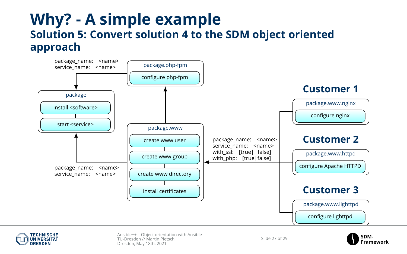## **Why? - A simple example Solution 5: Convert solution 4 to the SDM object oriented approach**





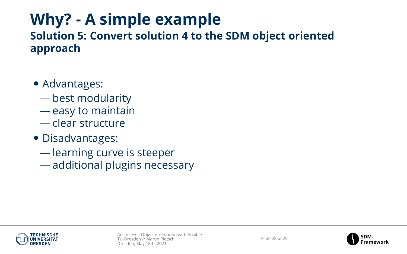# **Why? - A simple example**

### **Solution 5: Convert solution 4 to the SDM object oriented approach**

- Advantages:
	- best modularity
	- easy to maintain
	- clear structure
- Disadvantages:
	- learning curve is steeper
	- additional plugins necessary